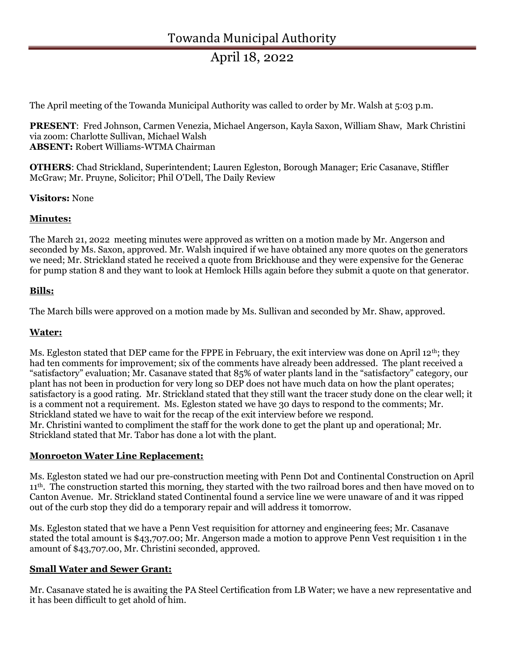# April 18, 2022

The April meeting of the Towanda Municipal Authority was called to order by Mr. Walsh at 5:03 p.m.

PRESENT: Fred Johnson, Carmen Venezia, Michael Angerson, Kayla Saxon, William Shaw, Mark Christini via zoom: Charlotte Sullivan, Michael Walsh ABSENT: Robert Williams-WTMA Chairman

OTHERS: Chad Strickland, Superintendent; Lauren Egleston, Borough Manager; Eric Casanave, Stiffler McGraw; Mr. Pruyne, Solicitor; Phil O'Dell, The Daily Review

Visitors: None

#### Minutes:

The March 21, 2022 meeting minutes were approved as written on a motion made by Mr. Angerson and seconded by Ms. Saxon, approved. Mr. Walsh inquired if we have obtained any more quotes on the generators we need; Mr. Strickland stated he received a quote from Brickhouse and they were expensive for the Generac for pump station 8 and they want to look at Hemlock Hills again before they submit a quote on that generator.

## Bills:

The March bills were approved on a motion made by Ms. Sullivan and seconded by Mr. Shaw, approved.

#### Water:

Ms. Egleston stated that DEP came for the FPPE in February, the exit interview was done on April 12<sup>th</sup>; they had ten comments for improvement; six of the comments have already been addressed. The plant received a "satisfactory" evaluation; Mr. Casanave stated that 85% of water plants land in the "satisfactory" category, our plant has not been in production for very long so DEP does not have much data on how the plant operates; satisfactory is a good rating. Mr. Strickland stated that they still want the tracer study done on the clear well; it is a comment not a requirement. Ms. Egleston stated we have 30 days to respond to the comments; Mr. Strickland stated we have to wait for the recap of the exit interview before we respond. Mr. Christini wanted to compliment the staff for the work done to get the plant up and operational; Mr. Strickland stated that Mr. Tabor has done a lot with the plant.

#### Monroeton Water Line Replacement:

Ms. Egleston stated we had our pre-construction meeting with Penn Dot and Continental Construction on April 11th. The construction started this morning, they started with the two railroad bores and then have moved on to Canton Avenue. Mr. Strickland stated Continental found a service line we were unaware of and it was ripped out of the curb stop they did do a temporary repair and will address it tomorrow.

Ms. Egleston stated that we have a Penn Vest requisition for attorney and engineering fees; Mr. Casanave stated the total amount is \$43,707.00; Mr. Angerson made a motion to approve Penn Vest requisition 1 in the amount of \$43,707.00, Mr. Christini seconded, approved.

## Small Water and Sewer Grant:

Mr. Casanave stated he is awaiting the PA Steel Certification from LB Water; we have a new representative and it has been difficult to get ahold of him.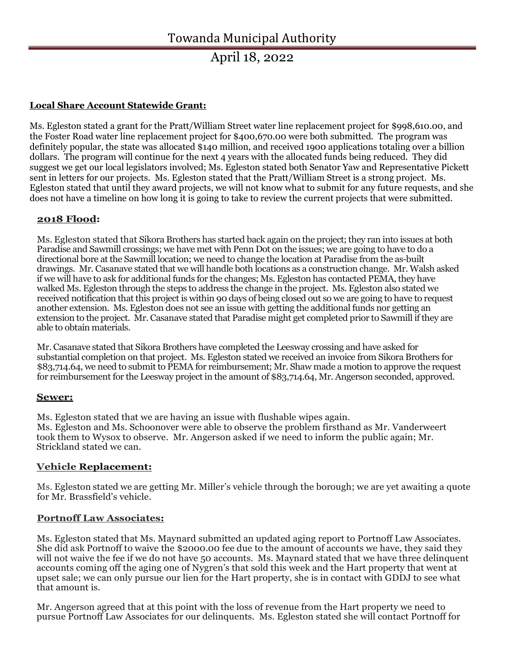## April 18, 2022

## Local Share Account Statewide Grant:

Ms. Egleston stated a grant for the Pratt/William Street water line replacement project for \$998,610.00, and the Foster Road water line replacement project for \$400,670.00 were both submitted. The program was definitely popular, the state was allocated \$140 million, and received 1900 applications totaling over a billion dollars. The program will continue for the next 4 years with the allocated funds being reduced. They did suggest we get our local legislators involved; Ms. Egleston stated both Senator Yaw and Representative Pickett sent in letters for our projects. Ms. Egleston stated that the Pratt/William Street is a strong project. Ms. Egleston stated that until they award projects, we will not know what to submit for any future requests, and she does not have a timeline on how long it is going to take to review the current projects that were submitted.

#### 2018 Flood:

Ms. Egleston stated that Sikora Brothers has started back again on the project; they ran into issues at both Paradise and Sawmill crossings; we have met with Penn Dot on the issues; we are going to have to do a directional bore at the Sawmill location; we need to change the location at Paradise from the as-built drawings. Mr. Casanave stated that we will handle both locations as a construction change. Mr. Walsh asked if we will have to ask for additional funds for the changes; Ms. Egleston has contacted PEMA, they have walked Ms. Egleston through the steps to address the change in the project. Ms. Egleston also stated we received notification that this project is within 90 days of being closed out so we are going to have to request another extension. Ms. Egleston does not see an issue with getting the additional funds nor getting an extension to the project. Mr. Casanave stated that Paradise might get completed prior to Sawmill if they are able to obtain materials.

Mr. Casanave stated that Sikora Brothers have completed the Leesway crossing and have asked for substantial completion on that project. Ms. Egleston stated we received an invoice from Sikora Brothers for \$83,714.64, we need to submit to PEMA for reimbursement; Mr. Shaw made a motion to approve the request for reimbursement for the Leesway project in the amount of \$83,714.64, Mr. Angerson seconded, approved.

#### Sewer:

Ms. Egleston stated that we are having an issue with flushable wipes again. Ms. Egleston and Ms. Schoonover were able to observe the problem firsthand as Mr. Vanderweert took them to Wysox to observe. Mr. Angerson asked if we need to inform the public again; Mr. Strickland stated we can.

## Vehicle Replacement:

Ms. Egleston stated we are getting Mr. Miller's vehicle through the borough; we are yet awaiting a quote for Mr. Brassfield's vehicle.

#### Portnoff Law Associates:

Ms. Egleston stated that Ms. Maynard submitted an updated aging report to Portnoff Law Associates. She did ask Portnoff to waive the \$2000.00 fee due to the amount of accounts we have, they said they will not waive the fee if we do not have 50 accounts. Ms. Maynard stated that we have three delinquent accounts coming off the aging one of Nygren's that sold this week and the Hart property that went at upset sale; we can only pursue our lien for the Hart property, she is in contact with GDDJ to see what that amount is.

Mr. Angerson agreed that at this point with the loss of revenue from the Hart property we need to pursue Portnoff Law Associates for our delinquents. Ms. Egleston stated she will contact Portnoff for